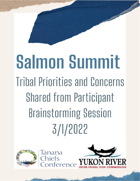# Salmon Summit **Tribal Priorities and Concerns Shared from Participant Brainstorming Session** 3/1/2022



anana

nterenc

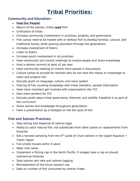# **Tribal Priorities:**

### **Community and Education:**

- **Feed Our People!**
- Return of the salmon, tribes **need** fish!
- Unification of tribes
- Increase community involvement in practices, projects, and governance
- Fish camps need to be hosted with or without fish to develop familial, cultural, and traditional bonds, while passing education through the generations
- Increase involvement of Elders
- Listen to Elders
- Increase youth involvement in all practices
- Have community and council meetings to involve people and share knowledge
- Host a salmon summit at least x2 per year
- Have community meeting to involve more people in discussions
- Culture camps to provide for families who do not have the means or knowledge to catch and prepare fish
- Educate youth on language, culture, and value system
- Sharing of fish counting knowledge with tribal members, spread information
- Have more members get involved with organizations like TCC
- Gain more workers for TCC
- Educate youth about tribal governance, fisheries, and wildlife. Establish it as part of the curriculum
- Share stories and knowledge throughout generations
- Have a presentation by a biologist on the life cycle of fish

#### **Fish and Salmon Practices:**

- Stop selling and dispersal of salmon eggs
- Ability to catch natural fish, not substitutes from other places or replacements from fisheries
- Get a harvest sampling from the 2<sup>nd</sup> pulse of chum salmon in the Upper Koyukuk + Yukon region
- Full smoke houses within 5 years
- Need river sonar
- Implement a fishing cap in the North Pacific, if villages have a cap so should commercial fisheries
- Stop salmon test nets and salmon tagging
- Reinstatement of the Chum bycatch cap
- Data on number of fish consumed by interior tribes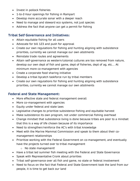- Invest in pollock fisheries
- 1-to-2-hour openings for fishing in Rampart
- Develop more accurate sonar with a deeper reach
- Need to manage and steward eco systems, not just species
- Address the fact that anyone can get a permit for fishing

#### **Tribal Self Governance and Initiatives:**

- Attain equitable fishing for all users
- Advocate for bill 123 and push for approval
- Create our own regulations for fishing and hunting aligning with subsistence priorities, currently we cannot manage our own allotments
- Reinstate trade routes and agreements
- Attain self-governance as western/colonial cultures are too removed from nature, develop our own dept of fish and game, dept of fisheries, dept of ag, etc… At minimum more co-management with agencies
- Create a corporate food sharing initiative
- Develop a tribal bycatch taskforce run by tribal members
- Create our own regulations for fishing and hunting aligning with subsistence priorities, currently we cannot manage our own allotments

#### **Federal and State Management:**

- More effective state and federal management overall
- More co–management with agencies
- Equity under federal and state laws
- Legislative changes to prioritize subsistence fishing and equitable harvest
- Make subsistence its own program, not under commercial fishing overhead
- Change mindset that subsistence living is done because tribes are poor to a mindset that this is a way of life chosen because of its importance
- Need to strengthen/reinforce the AC's with tribal knowledge
- Meet with the Marine Mammal Commission and speak to them about their comanagement relationships
- Prioritize working with the Federal Government on co-management, and eventually have the projects turned over to tribal management
	- o No state management!
- Have a tribal led summer fish meeting with the Federal and State Governance
- Speak with Representative Cronk about priorities
- Tribal self-governance over all fish and game, no state or federal involvement
- Need to focus on the fact that Federal and State Government took the land from our people, it is time to get back our land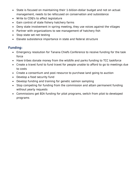- State is focused on maintaining their 1-billion-dollar budget and not on actual management, needs to be refocused on conservation and subsistence
- Write to CDQ's to affect legislature
- Gain control of state fishery hatchery farms
- Deny state involvement in spring meeting, they use voices against the villages
- Partner with organizations to see management of hatchery fish
- Stop state set net testing
- Elevate subsistence importance in state and federal structure

## **Funding:**

- Emergency resolution for Tanana Chiefs Conference to receive funding for the task force
- Have tribes donate money from the wildlife and parks funding to TCC taskforce
- Create a travel fund to fund travel for people unable to afford to go to meetings due to costs
- Create a consortium and pool resource to purchase land going to auction
- Develop a food security fund
- Develop funding and training for genetic salmon sampling
- Stop competing for funding from the commission and attain permanent funding without yearly requests
- Commissions get BIA funding for pilot programs, switch from pilot to developed programs